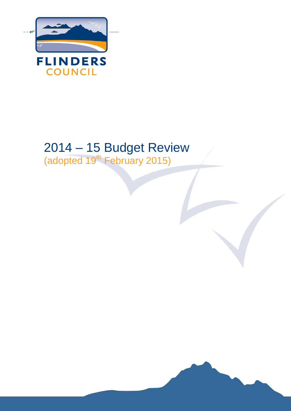

# 2014 – 15 Budget Review (adopted 19<sup>th</sup> February 2015)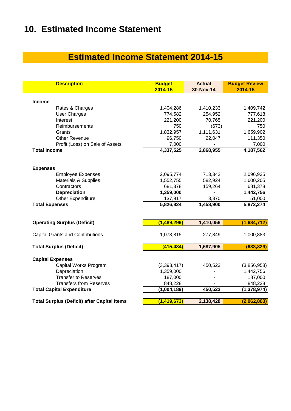# **10. Estimated Income Statement**

# **Estimated Income Statement 2014-15**

| <b>Description</b>                                 | <b>Budget</b><br>2014-15 | <b>Actual</b><br>30-Nov-14 | <b>Budget Review</b><br>2014-15 |
|----------------------------------------------------|--------------------------|----------------------------|---------------------------------|
| <b>Income</b>                                      |                          |                            |                                 |
| Rates & Charges                                    | 1,404,286                | 1,410,233                  | 1,409,742                       |
| <b>User Charges</b>                                | 774,582                  | 254,952                    | 777,618                         |
| Interest                                           | 221,200                  | 70,765                     | 221,200                         |
| Reimbursements                                     | 750                      | (673)                      | 750                             |
| Grants                                             | 1,832,957                | 1,111,631                  | 1,659,902                       |
| <b>Other Revenue</b>                               | 96,750                   | 22,047                     | 111,350                         |
| Profit (Loss) on Sale of Assets                    | 7,000                    |                            | 7,000                           |
| <b>Total Income</b>                                | 4,337,525                | 2,868,955                  | 4,187,562                       |
| <b>Expenses</b>                                    |                          |                            |                                 |
| <b>Employee Expenses</b>                           | 2,095,774                | 713,342                    | 2,096,935                       |
| <b>Materials &amp; Supplies</b>                    | 1,552,755                | 582,924                    | 1,600,205                       |
| Contractors                                        | 681,378                  | 159,264                    | 681,378                         |
| <b>Depreciation</b>                                | 1,359,000                |                            | 1,442,756                       |
| Other Expenditure                                  | 137,917                  | 3,370                      | 51,000                          |
| <b>Total Expenses</b>                              | 5,826,824                | 1,458,900                  | 5,872,274                       |
| <b>Operating Surplus (Deficit)</b>                 | (1,489,299)              | 1,410,056                  | (1,684,712)                     |
|                                                    |                          |                            |                                 |
| <b>Capital Grants and Contributions</b>            | 1,073,815                | 277,849                    | 1,000,883                       |
| <b>Total Surplus (Deficit)</b>                     | (415, 484)               | 1,687,905                  | (683, 829)                      |
| <b>Capital Expenses</b>                            |                          |                            |                                 |
| Capital Works Program                              | (3,398,417)              | 450,523                    | (3,856,958)                     |
| Depreciation                                       | 1,359,000                |                            | 1,442,756                       |
| <b>Transfer to Reserves</b>                        | 187,000                  |                            | 187,000                         |
| <b>Transfers from Reserves</b>                     | 848,228                  |                            | 848,228                         |
| <b>Total Capital Expenditure</b>                   | (1,004,189)              | 450,523                    | (1, 378, 974)                   |
|                                                    |                          |                            |                                 |
| <b>Total Surplus (Deficit) after Capital Items</b> | (1, 419, 673)            | 2,138,428                  | (2,062,803)                     |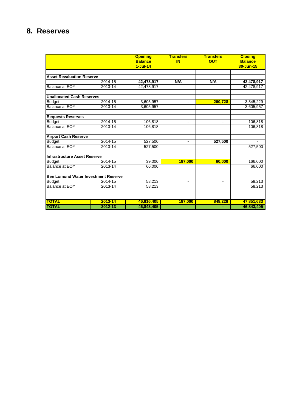## **8. Reserves**

|                                     |             | <b>Opening</b><br><b>Balance</b> | <b>Transfers</b><br><b>IN</b> | <b>Transfers</b><br><b>OUT</b> | <b>Closing</b><br><b>Balance</b> |
|-------------------------------------|-------------|----------------------------------|-------------------------------|--------------------------------|----------------------------------|
|                                     |             | $1-Jul-14$                       |                               |                                | 30-Jun-15                        |
|                                     |             |                                  |                               |                                |                                  |
| <b>Asset Revaluation Reserve</b>    |             |                                  |                               |                                |                                  |
|                                     | 2014-15     | 42,478,917                       | N/A                           | N/A                            | 42,478,917                       |
| Balance at EOY                      | 2013-14     | 42,478,917                       |                               |                                | 42,478,917                       |
| <b>Unallocated Cash Reserves</b>    |             |                                  |                               |                                |                                  |
| <b>Budget</b>                       | 2014-15     | 3,605,957                        | $\blacksquare$                | 260,728                        | 3,345,229                        |
| <b>Balance at EOY</b>               | 2013-14     | 3,605,957                        |                               |                                | 3,605,957                        |
| <b>Bequests Reserves</b>            |             |                                  |                               |                                |                                  |
| <b>Budget</b>                       | 2014-15     | 106,818                          |                               | ۰.                             | 106,818                          |
| Balance at EOY                      | 2013-14     | 106,818                          |                               |                                | 106.818                          |
| <b>Airport Cash Reserve</b>         |             |                                  |                               |                                |                                  |
| <b>Budget</b>                       | 2014-15     | 527,500                          | $\blacksquare$                | 527,500                        |                                  |
| <b>Balance at EOY</b>               | 2013-14     | 527,500                          |                               |                                | 527,500                          |
| <b>Infrastructure Asset Reserve</b> |             |                                  |                               |                                |                                  |
| <b>Budget</b>                       | 2014-15     | 39,000                           | 187,000                       | 60,000                         | 166,000                          |
| <b>Balance at EOY</b>               | 2013-14     | 66,000                           |                               |                                | 66,000                           |
| Ben Lomond Water Investment Reserve |             |                                  |                               |                                |                                  |
| <b>Budget</b>                       | 2014-15     | 58,213                           | $\overline{\phantom{a}}$      | $\overline{\phantom{a}}$       | 58,213                           |
| <b>Balance at EOY</b>               | 2013-14     | 58,213                           |                               |                                | 58,213                           |
|                                     |             |                                  |                               |                                |                                  |
| <b>TOTAL</b>                        | $2013 - 14$ | 46,816,405                       | 187,000                       | 848,228                        | 47,851,633                       |
| <b>TOTAL</b>                        | 2012-13     | 46,843,405                       |                               |                                | 46,843,405                       |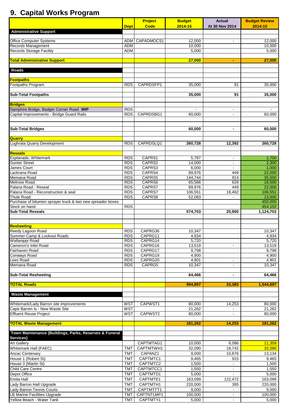# **9. Capital Works Program**

|                                                                                      |                          | Project            | <b>Budget</b>  | <b>Actual</b>  | <b>Budget Review</b> |
|--------------------------------------------------------------------------------------|--------------------------|--------------------|----------------|----------------|----------------------|
| <b>Administrative Support</b>                                                        | <b>Dept</b>              | <b>Code</b>        | 2014-15        | At 30 Nov 2014 | 2014-15              |
|                                                                                      |                          |                    |                |                |                      |
| <b>Office Computer Systems</b>                                                       | <b>ADM</b>               | CAPADMOCS1         | 12,000         | $\blacksquare$ | 12,000               |
| Records Management                                                                   | <b>ADM</b>               |                    | 10,000         |                | 10,000               |
| <b>Records Storage Facility</b>                                                      | ADM                      |                    | 5,000          |                | 5,000                |
|                                                                                      |                          |                    |                |                |                      |
| <b>Total Administrative Support</b>                                                  |                          |                    | 27,000         | ÷              | 27,000               |
| <b>Roads</b>                                                                         |                          |                    |                |                |                      |
|                                                                                      |                          |                    |                |                |                      |
| <b>Footpaths</b>                                                                     |                          |                    |                |                |                      |
| Footpaths Program                                                                    | <b>RDS</b>               | CAPRDSFP1          | 35,000         | 91             | 35,000               |
| <b>Sub-Total Footpaths</b>                                                           |                          |                    | 35,000         | 91             | 35,000               |
|                                                                                      |                          |                    |                |                |                      |
| <b>Bridges</b>                                                                       |                          |                    |                |                |                      |
| Samphire Bridge, Badger Corner Road WIP<br>Capital Improvements - Bridge Guard Rails | <b>RDS</b>               |                    | $\blacksquare$ | $\blacksquare$ | $\sim$               |
|                                                                                      | RDS                      | CAPRDSBG1          | 60.000         | $\blacksquare$ | 60.000               |
|                                                                                      |                          |                    |                |                |                      |
| <b>Sub-Total Bridges</b>                                                             |                          |                    | 60,000         | $\blacksquare$ | 60,000               |
|                                                                                      |                          |                    |                |                |                      |
| <b>Quarry</b><br>Lughrata Quarry Development                                         |                          |                    |                |                |                      |
|                                                                                      | <b>RDS</b>               | CAPRDSLQ1          | 260,728        | 12,392         | 260,728              |
|                                                                                      |                          |                    |                |                |                      |
| <b>Reseals</b><br>Esplanade, Whitemark                                               | <b>RDS</b>               | CAPRS1             | 5,787          | $\blacksquare$ | 1,700                |
| Gunter Street                                                                        | <b>RDS</b>               | CAPRS2             | 14,000         | $\blacksquare$ | 2,300                |
| James Court                                                                          | <b>RDS</b>               | CAPRS3             | 6,000          | $\blacksquare$ | 1,000                |
| ackrana Road.                                                                        | <b>RDS</b>               | CAPRS4             | 89,976         | 449            | 22,000               |
| Memana Road                                                                          | <b>RDS</b>               | CAPRS5             | 144,744        | 914            | 35,500               |
| <b>Melrose Road</b>                                                                  | <b>RDS</b>               | CAPRS6             | 65,586         | 626            | 16,500               |
| Palana Road - Reseal                                                                 | <b>RDS</b>               | CAPRS7             | 89,976         | 449            | 22,000               |
| Palana Road - Reconstruction & seal                                                  | <b>RDS</b>               | CAPRS7             | 106,551        | 18,462         | 106,551              |
| <b>Thule Road</b>                                                                    | <b>RDS</b>               | CAPRS8             | 52,083         | $\sim$         | 13,000               |
| Purchase of bitumen sprayer truck & two new spreader boxes                           |                          |                    |                |                | 450,000              |
| Stock on hand.                                                                       | <b>RDS</b>               |                    |                |                | 454,152              |
| <b>Sub-Total Reseals</b>                                                             |                          |                    | 574,703        | 20,900         | 1,124,703            |
|                                                                                      |                          |                    |                |                |                      |
|                                                                                      |                          |                    |                |                |                      |
| <b>Resheeting</b>                                                                    |                          |                    |                |                |                      |
| Reedy Lagoon Road<br>Summer Camp & Lookout Roads                                     | <b>RDS</b>               | CAPRG36            | 10,347         |                | 10,347               |
|                                                                                      | <b>RDS</b>               | CAPRG11            | 4,934          |                | 4,934                |
| Wallanippi Road<br>Cameron's Inlet Road                                              | <b>RDS</b><br><b>RDS</b> | CAPRG14<br>CAPRG16 | 5,720          | $\bullet$      | 5,720                |
| Fairhaven Road                                                                       | <b>RDS</b>               | CAPRG17            | 13,519         |                | 13,519<br>9,798      |
| Conways Road                                                                         | <b>RDS</b>               | CAPRG19            | 9,798<br>4,900 |                | 4,900                |
| Lees Road                                                                            | <b>RDS</b>               | CAPRG20            | 4,901          | $\sim$         | 4,901                |
| Memana Road                                                                          | <b>RDS</b>               | CAPRG5             | 10,347         | $\blacksquare$ | 10,347               |
|                                                                                      |                          |                    |                |                |                      |
| <b>Sub-Total Resheeting</b>                                                          |                          |                    | 64,466         | $\blacksquare$ | 64,466               |
| <b>TOTAL Roads</b>                                                                   |                          |                    |                |                |                      |
|                                                                                      |                          |                    | 994,897        | 33,383         | 1,544,897            |
| <b>Waste Management</b>                                                              |                          |                    |                |                |                      |
|                                                                                      |                          |                    |                |                |                      |
| Whitemark/Lady Barron site improvements                                              | <b>WST</b>               | CAPWST1            | 80,000         | 14,253         | 80,000               |
| Cape Barren Is - New Waste Site                                                      | WST                      |                    | 21,262         |                | 21,262               |
| <b>Effluent Reuse Project</b>                                                        | <b>WST</b>               | CAPWST2            | 80,000         |                | 80,000               |
| <b>TOTAL Waste Management</b>                                                        |                          |                    | 181,262        | 14,253         | 181,262              |
|                                                                                      |                          |                    |                |                |                      |
| Town Maintenance (Buildings, Parks, Reserves & Funeral                               |                          |                    |                |                |                      |
| Services)                                                                            |                          |                    |                |                |                      |
| <b>Art Gallery</b>                                                                   |                          | CAPTMTAG1          | 10,000         | 8,086          | 11,359               |
| Whitemark Hall (FAEC)                                                                | <b>TMT</b>               | CAPTMTWH1          | 32,090         | 18,742         | 32,090               |
| Anzac Centenary                                                                      | <b>TMT</b>               | CAPANZ1            | 9,000          | 10,876         | 13,134               |
| House 1 (Robert St)                                                                  | <b>TMT</b>               | CAPTMTC1           | 9,465          | 915            | 9,465                |
| House 3 (Martin St)                                                                  | <b>TMT</b>               | CAPTMTC2           | 1,500          |                | 1,500                |
| Child Care Centre                                                                    | <b>TMT</b>               | CAPTMTCC1          | 1,550          | $\blacksquare$ | 1,550                |
| Depot Office                                                                         | <b>TMT</b>               | CAPTMTD1           | 5,000          | $\blacksquare$ | 5,000                |
| Emita Hall                                                                           | <b>TMT</b>               | CAPTMTE1           | 163,099        | 122,472        | 163,099              |
| Lady Barron Hall Upgrade                                                             | <b>TMT</b>               | CAPTMTH1           | 220,000        | 395            | 220,000              |
| Lady Barron Tennis Courts                                                            | <b>TMT</b>               | CAPTMTTT1          | 9,000          |                | 9,000                |
| LB Marine Facilities Upgrade                                                         | <b>TMT</b>               | CAPTNTLMP1         | 100,000        | $\sim$         | 100,000              |
| Yellow Beach - Water Tank                                                            | <b>TMT</b>               | CAPTMTY1           | 5,000          | $\blacksquare$ | 5,000                |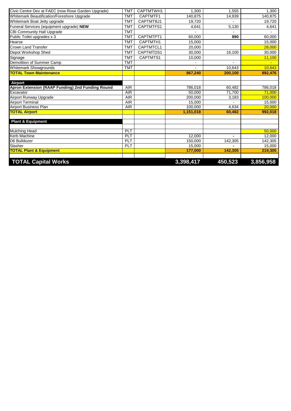| <b>TOTAL Capital Works</b>                                                 |            |           | 3,398,417 | 450,523 | 3,856,958 |
|----------------------------------------------------------------------------|------------|-----------|-----------|---------|-----------|
|                                                                            |            |           |           |         |           |
| <b>TOTAL Plant &amp; Equipment</b>                                         |            |           | 177,000   | 142,305 | 219,305   |
| Slasher                                                                    | <b>PLT</b> |           | 15,000    |         | 15,000    |
| D6 Bulldozer                                                               | PLT        |           | 150.000   | 142,305 | 142,305   |
| Kerb Machine                                                               | PLT        |           | 12,000    |         | 12,000    |
| <b>Mulching Head</b>                                                       | <b>PLT</b> |           |           |         | 50,000    |
| <b>Plant &amp; Equipment</b>                                               |            |           |           |         |           |
|                                                                            |            |           |           |         |           |
| <b>TOTAL Airport</b>                                                       |            |           | 1.151.018 | 60.482  | 992.018   |
| <b>Airport Business Plan</b>                                               | <b>AIR</b> |           | 100,000   | 4,634   | 20,000    |
| <b>Airport Terminal</b>                                                    | AIR        |           | 15.000    |         | 15,000    |
| Airport Runway Upgrade                                                     | <b>AIR</b> |           | 200,000   | 3,183   | 100,000   |
| Excavator                                                                  | <b>AIR</b> |           | 50.000    | 71.700  | 71.000    |
| Apron Extension (RAAP Funding) 2nd Funding Round                           | <b>AIR</b> |           | 786,018   | 60,482  | 786,018   |
| <b>Airport</b>                                                             |            |           |           |         |           |
|                                                                            |            |           |           |         |           |
| <b>TOTAL Town Maintenance</b>                                              |            |           | 867,240   | 200,100 | 892,476   |
| Whitemark Showgrounds                                                      | <b>TMT</b> |           |           | 10,643  | 10,643    |
| Demolition of Summer Camp                                                  | <b>TMT</b> |           |           |         |           |
| Signage                                                                    | <b>TMT</b> | CAPTMTS1  | 10.000    |         | 11,100    |
| Depot Workshop Shed                                                        | <b>TMT</b> | CAPTMTDS1 | 30.000    | 16,100  | 30.000    |
| Crown Land Transfer                                                        | <b>TMT</b> | CAPTMTCL1 | 20,000    |         | 28,000    |
| Hearse                                                                     | <b>TMT</b> | CAPTMTH1  | 15,000    |         | 15,000    |
| Public Toilet upgrades x 3                                                 | <b>TMT</b> | CAPTMTPT1 | 60,000    | 890     | 60,000    |
| CBI Community Hall Upgrade                                                 | <b>TMT</b> |           |           |         |           |
| Funeral Services (equipment upgrade) NEW                                   | <b>TMT</b> | CAPTMTFS1 | 4,641     | 5,130   | 4,641     |
| Whitemark Beautification/Foreshore Upgrade<br>Whitemark Boat Jetty upgrade | <b>TMT</b> | CAPTMTBJ1 | 19,720    | 14,939  | 19,720    |
|                                                                            | <b>TMT</b> | CAPTMTF1  | 140,875   |         | 140,875   |
| Civic Centre Dev at FAEC (now Rose Garden Upgrade)                         | <b>TMT</b> | CAPTMTWH1 | 1.300     | 1.555   | 1,300     |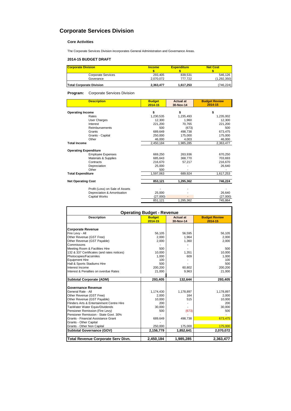## **Corporate Services Division**

### **Core Activities**

The Corporate Services Division incorporates General Administration and Governance Areas.

### **2014-15 BUDGET DRAFT**

| <b>Corporate Division</b>       | <b>Income</b> | <b>Expenditure</b> | <b>Net Cost</b> |
|---------------------------------|---------------|--------------------|-----------------|
|                                 |               |                    |                 |
| <b>Corporate Services</b>       | 293.405       | 839.531            | 546.126         |
| Goverance                       | 2.070.072     | 777.722            | (1, 292, 350)   |
| <b>Total Corporate Division</b> | 2,363,477     | 1,617,253          | (746, 224)      |

**Program:** Corporate Services Division

| <b>Description</b>              | <b>Budget</b><br>2014-15 | <b>Actual at</b><br>30-Nov-14 | <b>Budget Review</b><br>2014-15 |
|---------------------------------|--------------------------|-------------------------------|---------------------------------|
| <b>Operating Income</b>         | \$                       | \$                            | \$                              |
| Rates                           | 1,230,535                | 1,235,493                     | 1,235,002                       |
| <b>User Charges</b>             | 12,300                   | 1.960                         | 12,300                          |
| Interest                        | 221,200                  | 70,765                        | 221,200                         |
| Reimbursements                  | 500                      | (673)                         | 500                             |
| Grants                          | 689,649                  | 498,738                       | 673,475                         |
| Grants - Capital                | 250,000                  | 175,000                       | 175,000                         |
| Other                           | 46,000                   | 4,003                         | 46,000                          |
| <b>Total Income</b>             | 2,450,184                | 1,985,285                     | 2,363,477                       |
| <b>Operating Expenditure</b>    |                          |                               |                                 |
| <b>Employee Expenses</b>        | 669,250                  | 263,936                       | 670,250                         |
| Materials & Supplies            | 685.643                  | 368,770                       | 703,693                         |
| Contracts                       | 216.670                  | 57,217                        | 216,670                         |
| Depreciation                    | 25,000                   |                               | 26,640                          |
| Other                           | 500                      |                               |                                 |
| <b>Total Expenditure</b>        | 1,597,063                | 689,924                       | 1,617,253                       |
| <b>Net Operating Cost</b>       | 853,121                  | 1,295,362                     | 746,224                         |
|                                 |                          |                               |                                 |
| Profit (Loss) on Sale of Assets |                          |                               |                                 |
| Depreciation & Amortisation     | 25,000                   |                               | 26,640                          |
| <b>Capital Works</b>            | (27,000)                 |                               | (27,000)                        |
|                                 | 851,121                  | 1,295,362                     | 745,864                         |

| <b>Operating Budget - Revenue</b>                       |                          |                               |                                 |  |  |
|---------------------------------------------------------|--------------------------|-------------------------------|---------------------------------|--|--|
| <b>Description</b>                                      | <b>Budget</b><br>2014-15 | <b>Actual at</b><br>30-Nov-14 | <b>Budget Review</b><br>2014-15 |  |  |
| <b>Corporate Revenue</b>                                |                          |                               |                                 |  |  |
| Fire Levy - All                                         | 56.105                   | 56.595                        | 56.105                          |  |  |
| Other Revenue (GST Free)                                | 2,000                    | 1,964                         | 2,000                           |  |  |
| Other Revenue (GST Payable)                             | 2.000                    | 1,360                         | 2.000                           |  |  |
| Commissons                                              |                          |                               |                                 |  |  |
| Meeting Room & Facilities Hire                          | 500                      |                               | 500                             |  |  |
| 132 & 337 Certificates (and rates notices)              | 10.000                   | 1.351                         | 10.000                          |  |  |
| Photocopies/Facsimiles                                  | 1,000                    | 609                           | 1,000                           |  |  |
| <b>Equipment Hire</b>                                   | 100                      |                               | 100                             |  |  |
| Hall & Sports Stadiums Hire                             | 500                      |                               | 500                             |  |  |
| Interest Income                                         | 200.200                  | 60,802                        | 200.200                         |  |  |
| Interest & Penalties on overdue Rates                   | 21,000                   | 9,963                         | 21,000                          |  |  |
| <b>Subtotal Corporate (ADM)</b>                         | 293,405                  | 132,644                       | 293,405                         |  |  |
| Governance Revenue                                      |                          |                               |                                 |  |  |
| General Rate - All                                      |                          |                               |                                 |  |  |
|                                                         | 1,174,430                | 1,178,897<br>164              | 1,178,897                       |  |  |
| Other Revenue (GST Free)<br>Other Revenue (GST Payable) | 2,000<br>10,000          | 515                           | 2,000<br>10,000                 |  |  |
| Flinders Arts & Entertainment Centre Hire               | 200                      |                               | 200                             |  |  |
| TasWater Water Equiv/Dividends                          | 30,000                   |                               | 30,000                          |  |  |
| Pensioner Remission (Fire Levy)                         | 500                      | (673)                         | 500                             |  |  |
| Pensioner Remission - State Govt. 30%                   |                          |                               |                                 |  |  |
| Grants - Financial Assistance Grant                     | 689,649                  | 498,738                       | 673,475                         |  |  |
| Grants - Other Capital                                  |                          |                               |                                 |  |  |
| Grants - Other Non Capital                              | 250,000                  | 175,000                       | 175,000                         |  |  |
| Subtotal Governance (GOV)                               | 2,156,779                | 1,852,641                     | 2,070,072                       |  |  |
|                                                         |                          |                               |                                 |  |  |
| Total Revenue Corporate Serv Divn.                      | 2,450,184                | 1,985,285                     | 2,363,477                       |  |  |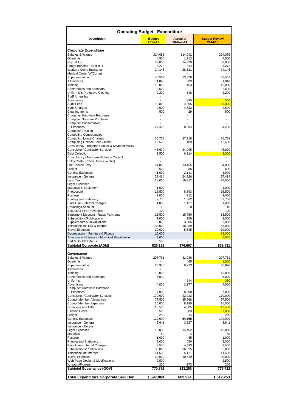| <b>Operating Budget - Expenditure</b>                              |                          |                               |                                 |  |  |
|--------------------------------------------------------------------|--------------------------|-------------------------------|---------------------------------|--|--|
| <b>Description</b>                                                 | <b>Budget</b><br>2014-15 | <b>Actual at</b><br>30-Nov-14 | <b>Budget Review</b><br>2014-15 |  |  |
| Corporate Expenditure                                              |                          |                               |                                 |  |  |
| Salaries & Wages                                                   | 324,055                  | 114,042                       | 324,055                         |  |  |
| Overtime                                                           | 4,500                    | 1,113                         | 4,500                           |  |  |
| Payroll Tax                                                        | 38,000                   | 14,929                        | 38,000                          |  |  |
| Fringe Benefits Tax (FBT)                                          | 3,272                    | 814                           | 3,272                           |  |  |
| Workers Comp Insurance<br>Medical Costs (W/Comp)                   | 24,145                   | 28,521                        | 24,145                          |  |  |
| Superannuation                                                     | 40,507                   | 13,378                        | 40,507                          |  |  |
| Allowances                                                         | 1,040                    | 309                           | 1,040                           |  |  |
| Training                                                           | 15,000                   | 163                           | 15,000                          |  |  |
| Conferences and Seminars                                           | 2,500                    |                               | 2,500                           |  |  |
| Uniforms & Protective Clothing<br><b>Staff Amenities</b>           | 2,200                    | 548                           | 2,200                           |  |  |
| Advertising                                                        | ÷,                       | 395                           | 500                             |  |  |
| <b>Audit Fees</b>                                                  | 19,800                   | 4,805                         | 25,000                          |  |  |
| <b>Bank Charges</b>                                                | 9,500                    | 4,632                         | 9,500                           |  |  |
| Cleaning Items                                                     | 500                      | 29                            | 500                             |  |  |
| Computer Hardware Purchase                                         |                          |                               |                                 |  |  |
| Computer Software Purchase                                         | ÷,                       |                               |                                 |  |  |
| <b>Computer Consumables</b><br><b>IT Expenses</b>                  | 24,400                   | 8,984                         | 24,400                          |  |  |
| Computer Training                                                  |                          |                               |                                 |  |  |
| <b>Computing Consultancies</b>                                     |                          |                               |                                 |  |  |
| <b>Computing Lease Charges</b>                                     | 26,728                   | 27,118                        | 26,728                          |  |  |
| Computing Licence Fees / Maint.                                    | 12,500                   | 409                           | 12,500                          |  |  |
| Consultancy - Brighton Council & Meander Valley                    |                          |                               |                                 |  |  |
| Consulting / Contractor Services                                   | 46,670                   | 34,295                        | 46,670                          |  |  |
| Debt Collection<br>Consultancy - Northern Midlands Council         | 1,500<br>$\blacksquare$  | 6,114                         | 8,000                           |  |  |
| Utility Costs (Power, Gas & Water)                                 |                          |                               |                                 |  |  |
| Fire Service Levy                                                  | 54,000                   | 13,465                        | 54,000                          |  |  |
| Freight                                                            | 600                      | 85                            | 600                             |  |  |
| General Expenses                                                   | 1,000                    | 2,141                         | 1,000                           |  |  |
| Insurance - General                                                | 27,414                   | 24,826                        | 27,414                          |  |  |
| Land Tax                                                           | 28,000                   | 19,912                        | 28,000                          |  |  |
| Legal Expenses                                                     |                          |                               |                                 |  |  |
| Materials & Equipment<br>Photocopier                               | 1,000<br>16,500          | 8,693                         | 1,000<br>16,500                 |  |  |
| Postage                                                            | 3,000                    | 912                           | 3,000                           |  |  |
| <b>Printing and Stationery</b>                                     | 2,750                    | 1,362                         | 2,750                           |  |  |
| Plant Hire - Internal Charges                                      | 1,000                    | 1,127                         | 1,000                           |  |  |
| Roundings Account                                                  | 10                       | 0                             | 10                              |  |  |
| Security & Fire Prevention                                         | 100                      |                               | 100                             |  |  |
| Settlement Discount - Rates Payments                               | 15,500                   | 15,750                        | 15,500                          |  |  |
| Subscriptions/Publications                                         | 2,000                    | 156                           | 2.000                           |  |  |
| <b>Supplementary Revaluations</b><br>Telephone incl Fax & Internet | 3,000<br>38,000          | 3,805<br>18,289               | 3,000<br>38,000                 |  |  |
| <b>Travel Expenses</b>                                             | 10,000                   | 5,545                         | 10,000                          |  |  |
| Depreciation - Furniture & Fittings                                | 16,000                   |                               | 18,000                          |  |  |
| Amortisation Expense - Municipal Revaluation                       | 9,000                    |                               | 8,640                           |  |  |
| Bad & Doubtful Debts                                               | 500                      |                               |                                 |  |  |
| Subtotal Corporate (ADM)                                           | 826.191                  | 376.667                       | 839.531                         |  |  |
| Governance                                                         |                          |                               |                                 |  |  |
| Salaries & Wages                                                   | 207,761                  | 81,036                        | 207,761                         |  |  |
| Overtime                                                           |                          | 465                           | 1,000                           |  |  |
| Superannuation                                                     | 25,970                   | 8,273                         | 25,970                          |  |  |
| Allowances<br>Training                                             | 13,000                   | ٠                             | 13,000                          |  |  |
| <b>Conferences and Seminars</b>                                    | 5,000                    |                               | 5,000                           |  |  |
| <b>Uniforms</b>                                                    |                          | 344                           | 350                             |  |  |
| Advertising                                                        | 4,000                    | 2,177                         | 4,000                           |  |  |
| Computer Hardware Purchase                                         |                          |                               |                                 |  |  |
| <b>IT Expenses</b>                                                 | 7,000                    | 8,850                         | 7,000                           |  |  |
| Consulting / Contractor Services                                   | 170,000                  | 22,923                        | 170,000                         |  |  |
| <b>Council Member Allowances</b><br>Council Member Expenses        | 77,500                   | 35,768                        | 77,500                          |  |  |
| Donations and Gifts                                                | 15,000<br>13,500         | 8,180<br>4,005                | 15,000<br>12,500                |  |  |
| <b>Election Costs</b>                                              | 500                      | 383                           | 7,000                           |  |  |
| Freight                                                            | 250                      | 14                            | 250                             |  |  |
| General Expenses                                                   | 120,000                  | 64,565                        | 120,000                         |  |  |
| Insurance - General                                                | 3,641                    | 3,827                         | 3,641                           |  |  |
| Insurance - Excess                                                 |                          |                               |                                 |  |  |
| Legal Expenses                                                     | 15,000                   | 14,452<br>4                   | 15,000<br>50                    |  |  |
| Materials<br>Postage                                               | 50<br>1,000              | 485                           | 1,000                           |  |  |
| <b>Printing and Stationery</b>                                     | 3,000                    | 556                           | 3,000                           |  |  |
| Plant Hire - Internal Charges                                      | 9,500                    | 4,993                         | 9,500                           |  |  |
| Subscriptions/Publications                                         | 35,000                   | 36,035                        | 35,000                          |  |  |
| Telephone inc Internet                                             | 11,500                   | 5,121                         | 11,500                          |  |  |
| <b>Travel Expenses</b>                                             | 30,000                   | 10,629                        | 30,000                          |  |  |
| Web Page Design & Modifications                                    | 2,500                    |                               | 2,500                           |  |  |
| Wreaths/Flowers                                                    | 200                      | 173                           | 200                             |  |  |
| Subtotal Governance (GOV)                                          | 770,872                  | 313,256                       | 777,722                         |  |  |
| <b>Total Expenditure Corporate Serv Dvn.</b>                       | 1,597,063                | 689,924                       | 1,617,253                       |  |  |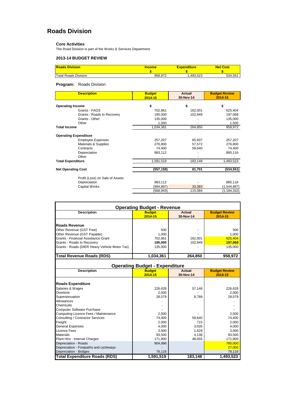## **Roads Division**

#### **Core Activities**

The Road Division is part of the Works & Services Department.

### **2013-14 BUDGET REVIEW**

| <b>Roads Division</b>       | Income  | Expenditure | <b>Net Cost</b> |
|-----------------------------|---------|-------------|-----------------|
|                             |         |             |                 |
| <b>Total Roads Division</b> | 958.972 | .493.523    | 534,551         |

### **Program:** Roads Division

| <b>Description</b>              | <b>Budget</b><br>$2014 - 15$ | <b>Actual</b><br>30-Nov-14 | <b>Budget Review</b><br>2014-15 |
|---------------------------------|------------------------------|----------------------------|---------------------------------|
| <b>Operating Income</b>         | \$                           | \$                         | \$                              |
| Grants - FAGS                   | 702,861                      | 162,001                    | 625,404                         |
| Grants - Roads to Recovery      | 195,000                      | 102,849                    | 197,068                         |
| Grants - Other                  | 135,000                      |                            | 135,000                         |
| Other                           | 1,500                        |                            | 1,500                           |
| <b>Total Income</b>             | 1,034,361                    | 264,850                    | 958,972                         |
| <b>Operating Expenditure</b>    |                              |                            |                                 |
| <b>Employee Expenses</b>        | 257,207                      | 65,937                     | 257,207                         |
| Materials & Supplies            | 276,800                      | 57,572                     | 276,800                         |
| Contracts                       | 74,400                       | 59,640                     | 74,400                          |
| Depreciation                    | 983,112                      |                            | 885,116                         |
| Other                           |                              |                            |                                 |
| <b>Total Expenditure</b>        | 1,591,519                    | 183,148                    | 1,493,523                       |
| <b>Net Operating Cost</b>       | (557, 158)                   | 81,701                     | (534, 551)                      |
| Profit (Loss) on Sale of Assets |                              |                            |                                 |
| Depreciation                    | 983,112                      |                            | 885,116                         |
| Capital Works                   | (994,897)                    | 33,383                     | (1,544,897)                     |
|                                 | (568,943)                    | 115,084                    | (1, 194, 332)                   |

| <b>Operating Budget - Revenue</b>             |                                       |               |                      |  |  |
|-----------------------------------------------|---------------------------------------|---------------|----------------------|--|--|
| <b>Description</b>                            | <b>Budget</b>                         | <b>Actual</b> | <b>Budget Review</b> |  |  |
|                                               | 2014-15                               | 30-Nov-14     | 2014-15              |  |  |
|                                               |                                       |               |                      |  |  |
| <b>Roads Revenue</b>                          |                                       |               |                      |  |  |
| Other Revenue (GST Free)                      | 500                                   |               | 500                  |  |  |
| Other Revenue (GST Payable)                   | 1,000                                 |               | 1,000                |  |  |
| Grants - Financial Assistance Grant           | 702,861                               | 162.001       | 625,404              |  |  |
| Grants - Roads to Recovery                    | 195,000                               | 102,849       | 197,068              |  |  |
| Grants - Roads (DIER Heavy Vehicle Motor Tax) | 135,000                               |               | 135,000              |  |  |
| <b>Total Revenue Roads (RDS)</b>              | 1,034,361                             | 264,850       | 958,972              |  |  |
|                                               |                                       |               |                      |  |  |
|                                               | <b>Operating Budget - Expenditure</b> |               |                      |  |  |
| <b>Description</b>                            | <b>Budget</b>                         | <b>Actual</b> | <b>Budget Review</b> |  |  |
|                                               | 2014-15                               | 30-Nov-14     | 2014-15              |  |  |
|                                               |                                       |               |                      |  |  |
| <b>Roads Expenditure</b>                      |                                       |               |                      |  |  |
| Salaries & Wages                              | 226,628                               | 57,148        | 226,628              |  |  |
| Overtime                                      | 2,000                                 |               | 2,000                |  |  |
| Superannuation                                | 28,579                                | 8,789         | 28,579               |  |  |
| Allowances                                    |                                       |               |                      |  |  |
| Chemicals                                     |                                       |               |                      |  |  |
| <b>Computer Software Purchase</b>             |                                       |               |                      |  |  |
| Computing Licence Fees / Maintenance          | 2,500                                 |               | 2,500                |  |  |
| Consulting / Contractor Services              | 74,400                                | 59,640        | 74,400               |  |  |
| Freight                                       | 2,000                                 | 715           | 2,000                |  |  |
| <b>General Expenses</b>                       | 4,000                                 | 3,035         | 4,000                |  |  |
| Licence Fees                                  | 3,000                                 | 1,629         | 3,000                |  |  |
| <b>Materials</b>                              | 93,500                                | 4,138         | 93,500               |  |  |
| Plant Hire - Internal Charges                 | 171,800                               | 48,055        | 171,800              |  |  |
| Depreciation - Roads                          | 904,996                               |               | 780,000              |  |  |
| Depreciation - Footpaths and cycleways        |                                       |               | 27,000               |  |  |
| Depreciation - Bridges                        | 78,116                                |               | 78,116               |  |  |
| <b>Total Expenditure Roads (RDS)</b>          | 1,591,519                             | 183,148       | 1,493,523            |  |  |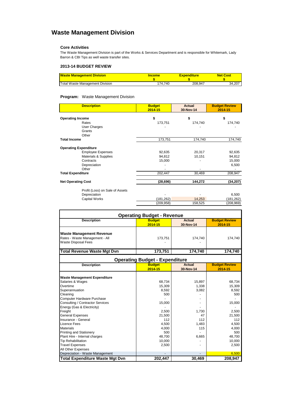## **Waste Management Division**

### **Core Activities**

The Waste Management Division is part of the Works & Services Department and is responsible for Whitemark, Lady Barron & CBI Tips as well waste transfer sites.

### **2013-14 BUDGET REVIEW**

| <b>Waste Management Division</b> | <b>Income</b> | <b>Expenditure</b> | <b>Net Cost</b> |
|----------------------------------|---------------|--------------------|-----------------|
|                                  |               |                    |                 |
| Total Waste Management Division  | 174.740       | 208,947            | 34.207          |

### **Program:** Waste Management Division

| <b>Description</b>              | <b>Budget</b><br>2014-15 | <b>Actual</b><br>30-Nov-14 | <b>Budget Review</b><br>2014-15 |
|---------------------------------|--------------------------|----------------------------|---------------------------------|
| <b>Operating Income</b>         | \$                       | \$                         | \$                              |
| Rates                           | 173,751                  | 174,740                    | 174,740                         |
| User Charges                    |                          |                            |                                 |
| Grants                          |                          |                            |                                 |
| Other                           |                          |                            |                                 |
| <b>Total Income</b>             | 173,751                  | 174,740                    | 174,740                         |
| <b>Operating Expenditure</b>    |                          |                            |                                 |
| <b>Employee Expenses</b>        | 92,635                   | 20,317                     | 92,635                          |
| Materials & Supplies            | 94,812                   | 10,151                     | 94,812                          |
| Contracts                       | 15,000                   |                            | 15,000                          |
| Depreciation                    |                          |                            | 6,500                           |
| Other                           |                          |                            |                                 |
| <b>Total Expenditure</b>        | 202,447                  | 30,469                     | 208,947                         |
| <b>Net Operating Cost</b>       | (28, 696)                | 144,272                    | (34, 207)                       |
| Profit (Loss) on Sale of Assets |                          |                            |                                 |
| Depreciation                    |                          |                            | 6,500                           |
| Capital Works                   | (181,262)                | 14,253                     | (181, 262)                      |
|                                 | (209, 958)               | 158,525                    | (208, 969)                      |

| <b>Operating Budget - Revenue</b>                                                               |                                       |                            |                                 |
|-------------------------------------------------------------------------------------------------|---------------------------------------|----------------------------|---------------------------------|
| <b>Description</b>                                                                              | <b>Budget</b><br>2014-15              | <b>Actual</b><br>30-Nov-14 | <b>Budget Review</b><br>2014-15 |
| <b>Waste Management Revenue</b><br>Rates - Waste Management - All<br><b>Waste Disposal Fees</b> | 173,751                               | 174,740                    | 174,740                         |
| <b>Total Revenue Waste Mgt Dvn</b>                                                              | 173,751                               | 174,740                    | 174.740                         |
|                                                                                                 | <b>Operating Budget - Expenditure</b> |                            |                                 |
| <b>Description</b>                                                                              | <b>Budget</b><br>2014-15              | <b>Actual</b><br>30-Nov-14 | <b>Budget Review</b><br>2014-15 |
| <b>Waste Management Expenditure</b>                                                             |                                       |                            |                                 |
| Salaries & Wages                                                                                | 68,734                                | 15,897                     | 68,734                          |
| Overtime                                                                                        | 15,309                                | 1,338                      | 15,309                          |
| Superannuation                                                                                  | 8,592                                 | 3,082                      | 8,592                           |
| Cleaning                                                                                        | 500                                   |                            | 500                             |
| Computer Hardware Purchase                                                                      |                                       |                            |                                 |
| Consulting / Contractor Services                                                                | 15,000                                |                            | 15,000                          |
| Energy (Gas & Electricity)                                                                      |                                       |                            |                                 |
| Freight                                                                                         | 2,500                                 | 1,730                      | 2,500                           |
| <b>General Expenses</b>                                                                         | 21,500                                | 47                         | 21,500                          |
| Insurance - General                                                                             | 112                                   | 112                        | 112                             |
| Licence Fees                                                                                    | 4,500                                 | 1,483                      | 4,500                           |
| <b>Materials</b>                                                                                | 4,000                                 | 115                        | 4,000                           |
| <b>Printing and Stationery</b>                                                                  | 500                                   |                            | 500                             |
| Plant Hire - Internal charges                                                                   | 48,700                                | 6,665                      | 48,700                          |
| <b>Tip Rehabilitation</b>                                                                       | 10,000                                |                            | 10,000                          |
| <b>Travel Expenses</b>                                                                          | 2,500                                 |                            | 2,500                           |
| All Other Expenses                                                                              |                                       |                            |                                 |
| Depreciation - Waste Management                                                                 |                                       |                            | 6,500                           |
| <b>Total Expenditure Waste Mgt Dvn</b>                                                          | 202,447                               | 30,469                     | 208,947                         |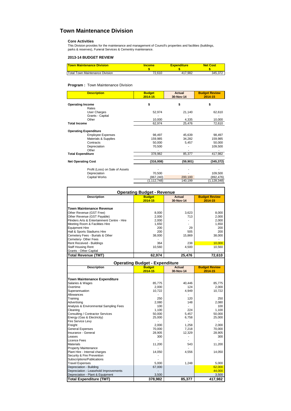### **Town Maintenance Division**

**Core Activities** This Division provides for the maintenance and management of Council's properties and facilities (buildings, parks & reserves), Funeral Services & Cementry maintenance.

### **2013-14 BUDGET REVIEW**

| <b>Town Maintenance Division</b> | Income | <b>Expenditure</b> | <b>Net Cost</b> |
|----------------------------------|--------|--------------------|-----------------|
| Total Town Maintenance Division  | 72.610 | 17.982             | 345.372         |

#### **Program :** Town Maintenance Division

| <b>Description</b>              | <b>Budget</b><br>2014-15 | <b>Actual</b><br>30-Nov-14 | <b>Budget Review</b><br>2014-15 |
|---------------------------------|--------------------------|----------------------------|---------------------------------|
| <b>Operating Income</b>         | \$                       | \$                         | \$                              |
| Rates                           |                          |                            |                                 |
| User Charges                    | 52,974                   | 21,140                     | 62,610                          |
| Grants - Capital                |                          |                            |                                 |
| Other                           | 10,000                   | 4,335                      | 10,000                          |
| <b>Total Income</b>             | 62,974                   | 25,476                     | 72,610                          |
| <b>Operating Expenditure</b>    |                          |                            |                                 |
| <b>Employee Expenses</b>        | 98,497                   | 45,639                     | 98,497                          |
| <b>Materials &amp; Supplies</b> | 159,985                  | 34,282                     | 159,985                         |
| Contracts                       | 50,000                   | 5,457                      | 50,000                          |
| Depreciation                    | 70,500                   |                            | 109,500                         |
| Other                           |                          |                            |                                 |
| <b>Total Expenditure</b>        | 378,982                  | 85,377                     | 417,982                         |
| <b>Net Operating Cost</b>       | (316,008)                | (59, 901)                  | (345, 372)                      |
| Profit (Loss) on Sale of Assets |                          |                            |                                 |
| Depreciation                    | 70,500                   |                            | 109,500                         |
| <b>Capital Works</b>            | (867, 240)               | 200,100                    | (892, 476)                      |
|                                 | (1,112,748)              | 140,199                    | (1, 128, 348)                   |

| <b>Operating Budget - Revenue</b>           |               |           |                      |
|---------------------------------------------|---------------|-----------|----------------------|
| <b>Description</b>                          | <b>Budget</b> | Actual    | <b>Budget Review</b> |
|                                             | 2014-15       | 30-Nov-14 | 2014-15              |
| <b>Town Maintenance Revenue</b>             |               |           |                      |
| Other Revenue (GST Free)                    | 8,000         | 3,623     | 8,000                |
| Other Revenue (GST Payable)                 | 2,000         | 713       | 2,000                |
| Flinders Arts & Entertainment Centre - Hire | 2,000         |           | 2,000                |
| Meeting Room & Facilities Hire              | 1,650         |           | 1,650                |
| <b>Equipment Hire</b>                       | 200           | 29        | 200                  |
| Hall & Sports Stadiums Hire                 | 200           | 505       | 200                  |
| Cemetery Fees - Burials & Other             | 38,000        | 15,869    | 38,000               |
| Cemetery- Other Fees                        |               |           |                      |
| Rent Received - Buildings                   | 364           | 238       | 10,000               |
| <b>Staff Housing Rent</b>                   | 10.560        | 4,500     | 10,560               |
| Grants - Other Capital                      |               |           |                      |
| <b>Total Revenue (TMT)</b>                  | 62,974        | 25,476    | 72,610               |
| <b>Operating Budget - Expenditure</b>       |               |           |                      |

| Operating Budget - Experimente         |               |               |                      |
|----------------------------------------|---------------|---------------|----------------------|
| <b>Description</b>                     | <b>Budget</b> | <b>Actual</b> | <b>Budget Review</b> |
|                                        | 2014-15       | 30-Nov-14     | 2014-15              |
|                                        |               |               |                      |
| <b>Town Maintenance Expenditure</b>    |               |               |                      |
| Salaries & Wages                       | 85,775        | 40,446        | 85,775               |
| Overtime                               | 2,000         | 124           | 2,000                |
| Superannuation                         | 10,722        | 4,949         | 10,722               |
| Allowances                             |               |               |                      |
| Training                               | 250           | 120           | 250                  |
| Advertising                            | 2,080         | 148           | 2,080                |
| Analysis & Environmental Sampling Fees | 100           |               | 100                  |
| Cleaning                               | 1,100         | 224           | 1,100                |
| Consulting / Contractor Services       | 50,000        | 5,457         | 50,000               |
| Energy (Gas & Electricity)             | 25,000        | 6,758         | 25,000               |
| <b>Fire Service Levy</b>               |               |               |                      |
| Freight                                | 2,000         | 1,258         | 2,000                |
| <b>General Expenses</b>                | 70,000        | 7,218         | 70,000               |
| Insurance - General                    | 28,905        | 12,329        | 28,905               |
| Leases                                 | 300           |               | 300                  |
| Licence Fees                           |               |               |                      |
| <b>Materials</b>                       | 11,200        | 543           | 11,200               |
| <b>Property Maintenance</b>            |               |               |                      |
| Plant Hire - Internal charges          | 14,050        | 4,556         | 14,050               |
| Security & Fire Prevention             |               |               |                      |
| Subscriptions/Publications             |               |               |                      |
| <b>Travel Expenses</b>                 | 5.000         | 1,248         | 5,000                |
| Depreciation - Building                | 67,000        |               | 62,000               |
| Depreciation - Leasehold Improvements  |               |               | 44,000               |
| Depreciation - Plant & Equipment       | 3,500         |               | 3,500                |
| <b>Total Expenditure (TMT)</b>         | 378,982       | 85,377        | 417,982              |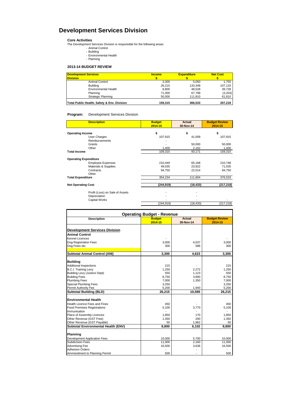## **Development Services Division**

**Core Activities**<br>
The Development Services Division is responsible for the following areas:<br>
- Animal Control<br>
- Building<br>
- Environmental Health<br>
- Planning

- - -

### **2013-14 BUDGET REVIEW**

| <b>Development Services</b><br><b>Division</b> | <b>Income</b> | <b>Expenditure</b> | <b>Net Cost</b> |
|------------------------------------------------|---------------|--------------------|-----------------|
| Animal Control                                 | 3.300         | 5.050              | 1,750           |
| <b>Building</b>                                | 26.215        | 133.348            | 107,133         |
| <b>Environmental Health</b>                    | 8.800         | 48,528             | 39,728          |
| Planning                                       | 71.000        | 67.798             | (3,203)         |
| Strategic Planning                             | 50.000        | 111.810            | 61,810          |
| Total Public Health, Safety & Env. Division    | 159.315       | 366.533            | 207.218         |

### **Program:** Development Services Division

| <b>Description</b>              | <b>Budget</b><br>2014-15 | <b>Actual</b><br>30-Nov-14 | <b>Budget Review</b><br>2014-15 |
|---------------------------------|--------------------------|----------------------------|---------------------------------|
| <b>Operating Income</b>         | \$                       | \$                         | \$                              |
| User Charges                    | 107,915                  | 41,009                     | 107,915                         |
| <b>Reimbursements</b>           |                          |                            |                                 |
| Grants                          |                          | 50,000                     | 50,000                          |
| Other                           | 1,400                    | 2,162                      | 1,400                           |
| <b>Total Income</b>             | 109,315                  | 93,171                     | 159,315                         |
| <b>Operating Expenditure</b>    |                          |                            |                                 |
| <b>Employee Expenses</b>        | 210,449                  | 65,168                     | 210,748                         |
| Materials & Supplies            | 49,035                   | 23,922                     | 71,035                          |
| Contracts                       | 94,750                   | 22,514                     | 94,750                          |
| Other                           |                          |                            |                                 |
| <b>Total Expenditure</b>        | 354,234                  | 111,604                    | 376,533                         |
| <b>Net Operating Cost</b>       | (244, 919)               | (18, 433)                  | (217, 218)                      |
| Profit (Loss) on Sale of Assets |                          |                            |                                 |
| Depreciation                    |                          |                            |                                 |
| Capital Works                   |                          |                            |                                 |
|                                 | (244, 919)               | (18, 433)                  | (217, 218)                      |

| <b>Operating Budget - Revenue</b>                  |               |               |                      |
|----------------------------------------------------|---------------|---------------|----------------------|
| <b>Description</b>                                 | <b>Budget</b> | <b>Actual</b> | <b>Budget Review</b> |
|                                                    | 2014-15       | 30-Nov-14     | 2014-15              |
| <b>Development Services Division</b>               |               |               |                      |
| <b>Animal Control</b>                              |               |               |                      |
| Kennel Licences                                    |               |               |                      |
| Dog Registration Fees                              | 3,000         | 4,037         | 3,000                |
|                                                    | 300           | 586           | 300                  |
| Dog Fines etc.                                     |               |               |                      |
| <b>Subtotal Animal Control (ANI)</b>               | 3,300         | 4,623         | 3,300                |
| <b>Building</b>                                    |               |               |                      |
| <b>Additional Inspections</b>                      | 215           |               | 215                  |
| <b>B.C.I. Training Levy</b>                        | 1,250         | 2,272         | 1,250                |
| <b>Building Levy (Justice Dept)</b>                | 550           | 1,123         | 550                  |
| <b>Building Fees</b>                               | 8,750         | 3,900         | 8,750                |
| <b>Plumbing Fees</b>                               | 7,000         | 1,350         | 7,000                |
| <b>Special Plumbing Fees</b>                       | 3,250         |               | 3,250                |
| Permit Authority Fee                               | 5,200         | 1,940         | 5,200                |
| <b>Subtotal Building (BLD)</b>                     | 26,215        | 10.585        | 26,215               |
| <b>Environmental Health</b>                        |               |               |                      |
| Health Licence Fees and Fines                      | 450           |               | 450                  |
|                                                    | 5,100         | 3,770         | 5,100                |
| <b>Food Premises Registrations</b><br>Immunisation |               |               |                      |
| Place of Assembly Licences                         | 1,850         | 170           | 1,850                |
| Other Revenue (GST Free)                           | 1,350         | 200           | 1,350                |
| Other Revenue (GST Payable)                        | 50            | 1,962         | 50                   |
| Subtotal Environmental Health (ENV)                | 8,800         | 6,102         | 8.800                |
|                                                    |               |               |                      |
| Planning                                           |               |               |                      |
| Development Application Fees                       | 10,000        | 5,700         | 10,000               |
| <b>Subdivision Fees</b>                            | 11,000        | 2,160         | 11,000               |
| <b>Advertising Fee</b>                             | 16,500        | 3,636         | 16,500               |
| <b>Adhesion Orders</b>                             |               |               |                      |
| Ammendment to Planning Permit                      | 500           |               | 500                  |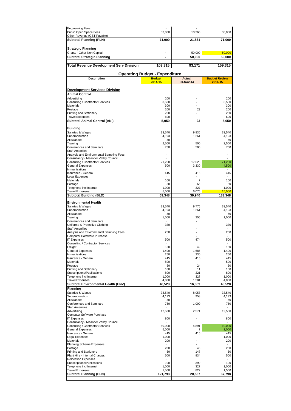| <b>Engineering Fees</b>                  |                                       |                          |                      |
|------------------------------------------|---------------------------------------|--------------------------|----------------------|
| Public Open Space Fees                   | 33,000                                | 10,365                   | 33,000               |
| Other Revenue (GST Payable)              |                                       |                          |                      |
| Subtotal Planning (PLN)                  | 71,000                                | 21,861                   | 71,000               |
|                                          |                                       |                          |                      |
| <b>Strategic Planning</b>                |                                       |                          |                      |
| Grants - Other Non Capital               |                                       | 50,000                   | 50,000               |
|                                          |                                       |                          |                      |
| Subtotal Strategic Planning              | $\overline{a}$                        | 50,000                   | 50,000               |
|                                          |                                       |                          |                      |
| Total Revenue Development Serv Division  | 109,315                               | 93,171                   | 159,315              |
|                                          |                                       |                          |                      |
|                                          | <b>Operating Budget - Expenditure</b> |                          |                      |
| <b>Description</b>                       | <b>Budget</b>                         | <b>Actual</b>            | <b>Budget Review</b> |
|                                          | 2014-15                               | 30-Nov-14                | 2014-15              |
|                                          |                                       |                          |                      |
| <b>Development Services Division</b>     |                                       |                          |                      |
|                                          |                                       |                          |                      |
| <b>Animal Control</b>                    |                                       |                          |                      |
| Advertising                              | 200                                   |                          | 200                  |
| Consulting / Contractor Services         | 3,500                                 |                          | 3,500                |
| <b>Materials</b>                         | 300                                   |                          | 300                  |
| Postage                                  | 200                                   | 23                       | 200                  |
| <b>Printing and Stationery</b>           | 250                                   |                          | 250                  |
| <b>Travel Expenses</b>                   | 600                                   |                          | 600                  |
| Subtotal Animal Control (ANI)            | 5,050                                 | 23                       | 5,050                |
|                                          |                                       |                          |                      |
| <b>Building</b>                          |                                       |                          |                      |
| Salaries & Wages                         | 33,540                                | 9,835                    | 33,540               |
| Superannuation                           | 4,193                                 | 1,261                    | 4,193                |
| Allowances                               | 50                                    |                          | 50                   |
| Training                                 | 2,500                                 | 500                      | 2,500                |
| <b>Conferences and Seminars</b>          | 750                                   | 500                      | 750                  |
| <b>Staff Amenities</b>                   | $\overline{\phantom{a}}$              |                          |                      |
| Analysis and Environmental Sampling Fees |                                       |                          |                      |
| Consultancy - Meander Valley Council     |                                       |                          |                      |
| Consulting / Contractor Services         | 21,250                                | 17.623                   | 71,250               |
| <b>General Expenses</b>                  | 500                                   | 3,330                    | 4,500                |
| Immunisations                            |                                       |                          |                      |
| Insurance - General                      | 415                                   | 415                      | 415                  |
| Ι<br>Legal Expenses                      |                                       |                          |                      |
| <b>Materials</b>                         | 100                                   | 7                        | 100                  |
| Postage                                  | 50                                    | 65                       | 50                   |
| Telephone incl Internet                  | 1,000                                 | 327                      | 1,000                |
| <b>Travel Expenses</b>                   | 5,000                                 | 6,076                    | 15,000               |
| <b>Subtotal Building (BLD)</b>           | 69,348                                | 39,940                   | 133,348              |
|                                          |                                       |                          |                      |
| Environmental Health                     |                                       |                          |                      |
| Salaries & Wages                         | 33,540                                | 9,775                    | 33,540               |
| Superannuation                           | 4,193                                 | 1,261                    | 4,193                |
| Allowances                               | 50                                    | $\overline{\phantom{a}}$ | 50                   |
| Training                                 | 1,000                                 | 255                      | 1,000                |
| Conferences and Seminars                 |                                       | $\overline{\phantom{a}}$ |                      |
| Uniforms & Protective Clothing           | 330                                   |                          | 330                  |
| <b>Staff Amenities</b>                   |                                       |                          |                      |
| Analysis and Environmental Sampling Fees | 250                                   |                          | 250                  |
| Computer Hardware Purchase               |                                       |                          |                      |
| <b>IT Expenses</b>                       | 500                                   | 474                      | 500                  |
| Consulting / Contractor Services         |                                       |                          |                      |
| Freight                                  | 150                                   | 49                       | 150                  |
| <b>General Expenses</b>                  | 1,400                                 | 1.686                    | 1,400                |
| Immunisations                            | 250                                   | 230                      | 250                  |
| Insurance - General                      | 415                                   | 415                      | 415                  |
| <b>Materials</b>                         | 500                                   |                          | 500                  |
| Postage                                  | 50                                    | 24                       | 50                   |
| Printing and Stationery                  | 100                                   | 11                       | 100                  |
| Subscriptions/Publications               | 800                                   | 221                      | 800                  |
| Telephone incl Internet                  | 1,000                                 | 327                      | 1,000                |
| <b>Travel Expenses</b>                   | 4,000                                 | 1,581                    | 4,000                |
| Subtotal Environmental Health (ENV)      | 48,528                                | 16,309                   | 48,528               |
|                                          |                                       |                          |                      |
| <b>Planning</b>                          |                                       |                          |                      |
| Salaries & Wages                         | 33.540                                | 8,058                    | 33.540               |
| Superannuation                           | 4,193                                 | 958                      | 4,193                |
| Allowances                               | 50                                    |                          | 50                   |
| <b>Conferences and Seminars</b>          | 750                                   | 1,000                    | 750                  |
| <b>Staff Amenities</b>                   |                                       |                          |                      |
| Advertising                              | 12,500                                | 2,571                    | 12,500               |
| Computer Software Purchase               |                                       |                          |                      |
| <b>IT Expenses</b>                       | 800                                   | $\overline{a}$           | 800                  |
| Consultancy - Meander Valley Council     |                                       |                          |                      |
| Consulting / Contractor Services         | 60,000                                | 4,891                    | 10,000               |
| General Expenses                         | 5,000                                 | $\overline{7}$           | 1,000                |
| Insurance - General                      | 415                                   | 415                      | 415                  |
| <b>Legal Expenses</b>                    | 1,000                                 |                          | 1,000                |
| <b>Materials</b>                         | 200                                   |                          | 200                  |
| <b>Planning Scheme Expenses</b>          |                                       |                          |                      |
| Postage                                  | 200                                   | 48                       | 200                  |
| Printing and Stationery                  | 50                                    | 147                      | 50                   |
| Plant Hire - Internal Charges            | 500                                   | 934                      | 500                  |
| <b>Relocation Expenses</b>               | ٠                                     |                          |                      |
| Subscriptions/Publications               | 100                                   | 390                      | 100                  |
| Telephone incl Internet                  | 1,000                                 | 327                      | 1,000                |
| <b>Travel Expenses</b>                   | 1,500                                 | 822                      | 1,500                |
| <b>Subtotal Planning (PLN)</b>           | 121,798                               | 20,567                   | 67,798               |
|                                          |                                       |                          |                      |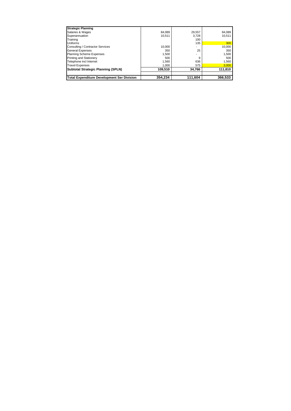| <b>Strategic Planning</b>                         |         |         |         |
|---------------------------------------------------|---------|---------|---------|
| Salaries & Wages                                  | 84,089  | 29,557  | 84,089  |
| Superannuation                                    | 10.511  | 3.728   | 10.511  |
| Training                                          |         | 100     |         |
| Uniforms                                          |         | 135     | 300     |
| Consulting / Contractor Services                  | 10.000  |         | 10,000  |
| <b>General Expenses</b>                           | 350     | 25      | 350     |
| <b>Planning Scheme Expenses</b>                   | 1,500   |         | 1,500   |
| <b>Printing and Stationery</b>                    | 500     | 9       | 500     |
| Telephone incl Internet                           | 1.560   | 636     | 1,560   |
| <b>Travel Expenses</b>                            | 1.000   | 575     | 3,000   |
| <b>Subtotal Strategic Planning (SPLN)</b>         | 109,510 | 34,766  | 111,810 |
| <b>Total Expenditure Development Ser Division</b> | 354.234 | 111,604 | 366,533 |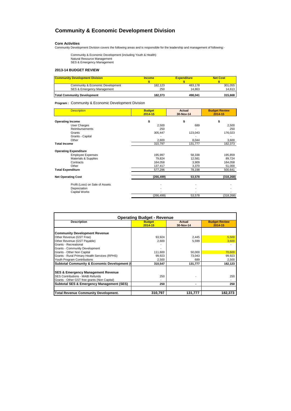### **Community & Economic Development Division**

**Core Activities** Community Development Division covers the following areas and is responsible for the leadership and management of following:-

Community & Economic Development (including Youth & Health) Natural Resource Management SES & Emergency Management

### **2013-14 BUDGET REVIEW**

| <b>Community Development Division</b> | <b>Income</b> | <b>Expenditure</b> | <b>Net Cost</b> |
|---------------------------------------|---------------|--------------------|-----------------|
| Community & Economic Development      | 182.123       | 483.178            | 301.055         |
| SES & Emergency Management            | 250           | 14.863             | 14.613          |
| <b>Total Community Development</b>    | 182.373       | 498.041            | 315.668         |

**Program :** Community & Economic Development Division

| <b>Description</b>              | <b>Budget</b> | <b>Actual</b> | <b>Budget Review</b> |
|---------------------------------|---------------|---------------|----------------------|
|                                 | $2014 - 15$   | 30-Nov-14     | 2014-15              |
| <b>Operating Income</b>         | \$            | \$            | \$                   |
| User Charges                    | 2,500         | 689           | 2,500                |
| <b>Reimbursements</b>           | 250           |               | 250                  |
| Grants                          | 305,447       | 123,043       | 176,023              |
| Grants - Capital                |               |               |                      |
| Other                           | 2,600         | 8,044         | 3,600                |
| <b>Total Income</b>             | 310,797       | 131,777       | 182,373              |
| <b>Operating Expenditure</b>    |               |               |                      |
| <b>Employee Expenses</b>        | 195,997       | 58,338        | 195,859              |
| Materials & Supplies            | 79,824        | 12,581        | 89,724               |
| Contracts                       | 164,058       | 3,909         | 164,058              |
| Other                           | 137,417       | 3,370         | 51,000               |
| <b>Total Expenditure</b>        | 577,296       | 78,198        | 500,641              |
| <b>Net Operating Cost</b>       | (266, 499)    | 53,578        | (318, 268)           |
| Profit (Loss) on Sale of Assets |               |               |                      |
|                                 |               |               |                      |
| Depreciation                    |               |               |                      |
| <b>Capital Works</b>            | (266, 499)    | 53,578        | (318, 268)           |
|                                 |               |               |                      |

| <b>Operating Budget - Revenue</b>                       |               |           |                      |
|---------------------------------------------------------|---------------|-----------|----------------------|
| <b>Description</b>                                      | <b>Budget</b> | Actual    | <b>Budget Review</b> |
|                                                         | 2014-15       | 30-Nov-14 | 2014-15              |
| <b>Community Development Revenue</b>                    |               |           |                      |
| Other Revenue (GST Free)                                | 93,924        | 2,445     | 5,500                |
| Other Revenue (GST Payable)                             | 2.600         | 5,599     | 3,600                |
| Grants - Recreational                                   |               |           |                      |
| Grants - Community Development                          |               |           |                      |
| Grants - Other Non Capital                              | 111.600       | 50.000    | 70,600               |
| Grants - Rural Primary Health Services (RPHS)           | 99,923        | 73.043    | 99,923               |
| Youth Program Contributions                             | 2.500         | 689       | 2,500                |
| <b>Subtotal Community &amp; Economic Development (0</b> | 310,547       | 131,777   | 182,123              |
| <b>SES &amp; Emergency Management Revenue</b>           |               |           |                      |
| <b>SES Contributions - MAIB Refunds</b>                 | 250           |           | 250                  |
| Grants - Other GST free grants (Non Capital)            |               |           |                      |
| <b>Subtotal SES &amp; Emergency Management (SES)</b>    | 250           |           | 250                  |
| <b>Total Revenue Community Development.</b>             | 310,797       | 131.777   | 182.373              |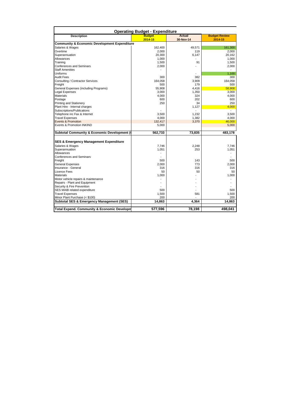| <b>Description</b>                                      | <b>Budget</b>  | <b>Actual</b>  | <b>Budget Review</b> |
|---------------------------------------------------------|----------------|----------------|----------------------|
|                                                         | 2014-15        | 30-Nov-14      | 2014-15              |
| <b>Community &amp; Economic Development Expenditure</b> |                |                |                      |
| Salaries & Wages                                        | 162,400        | 49.571         |                      |
| Overtime                                                | 2,000          | 119            |                      |
| Superannuation                                          | 20,300         | 6,147          |                      |
| Allowances                                              | 1,000          |                |                      |
| Training                                                | 1,500          | 91             |                      |
| Conferences and Seminars                                | 2,000          | $\overline{a}$ |                      |
| <b>Staff Amenities</b>                                  |                |                |                      |
| Uniforms                                                |                |                |                      |
| <b>Audit Fees</b>                                       | 300            | 382            |                      |
| Consulting / Contractor Services                        | 164,058        | 3.909          |                      |
| Freight                                                 | 500            | 179            |                      |
| General Expenses (including Programs)                   | 55.908         | 4.416          |                      |
| <b>Legal Expenses</b>                                   | 3,000          | 1,350          |                      |
| Materials                                               | 4,000          | 324            |                      |
| Postage                                                 | 600            | 202            |                      |
| Printing and Stationery                                 | 250            | 34             |                      |
| Plant Hire - Internal charges                           |                | 1,127          |                      |
| Subscriptions/Publications                              |                |                |                      |
| Telephone inc Fax & Internet                            | 3,500          | 1,232          |                      |
| <b>Travel Expenses</b>                                  | 4,000          | 1.382          |                      |
| <b>Events &amp; Promotion</b>                           | 132.417        | 3,370          |                      |
| Events & Promotion INKIND                               | 5,000          |                |                      |
|                                                         |                |                |                      |
| Subtotal Community & Economic Development (             | 562,733        | 73.835         | 483.178              |
|                                                         |                |                |                      |
| <b>SES &amp; Emergency Management Expenditure</b>       |                |                |                      |
| Salaries & Wages                                        | 7.746          | 2.248          |                      |
| Superannuation                                          | 1,051          | 253            |                      |
| Allowances                                              | $\overline{a}$ |                |                      |
| <b>Conferences and Seminars</b>                         |                |                |                      |
| Freight                                                 | 500            | 143            |                      |
| <b>General Expenses</b>                                 | 2.000          | 773            |                      |
| Insurance - General                                     | 316            | 316            |                      |
| Licence Fees                                            | 50             | 50             |                      |
| <b>Materials</b>                                        | 1,000          |                |                      |
| Motor vehicle repairs & maintenance                     |                |                |                      |
| Repairs - Plant and Equipment                           | $\overline{a}$ |                |                      |
| Security & Fire Prevention                              |                |                |                      |
| SES MAIB related expenditure                            | 500            |                |                      |
| <b>Travel Expenses</b>                                  | 1,500          | 581            |                      |
| Minor Plant Purchase (< \$100)                          | 200            |                |                      |
| Subtotal SES & Emergency Management (SES)               | 14,863         | 4,364          |                      |
|                                                         |                |                |                      |
|                                                         |                |                |                      |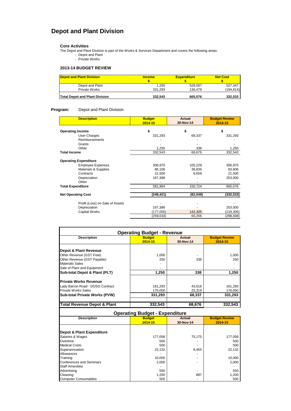## **Depot and Plant Division**

### **Core Activities**

 $\mathbf I$ 

The Depot and Plant Division is part of the Works & Services Department and covers the following areas: - Depot and Plant

- Private Works

### **2013-14 BUDGET REVIEW**

| <b>Depot and Plant Division</b>       | <b>Income</b> | <b>Expenditure</b> | <b>Net Cost</b> |
|---------------------------------------|---------------|--------------------|-----------------|
|                                       |               |                    |                 |
| Depot and Plant                       | 1.250         | 528.597            | 527.347         |
| Private Works                         | 331.293       | 136.479            | (194, 814)      |
| <b>Total Depot and Plant Division</b> | 332.543       | 665.076            | 332,533         |

### **Program:** Depot and Plant Division

| <b>Description</b>              | <b>Budget</b><br>2014-15 | <b>Actual</b><br>30-Nov-14 | <b>Budget Review</b><br>2014-15 |
|---------------------------------|--------------------------|----------------------------|---------------------------------|
| <b>Operating Income</b>         | \$                       | \$                         | \$                              |
| <b>User Charges</b>             | 331,293                  | 68,337                     | 331,293                         |
| <b>Reimbursements</b>           |                          |                            |                                 |
| Grants                          |                          |                            |                                 |
| Other                           | 1,250                    | 338                        | 1,250                           |
| <b>Total Income</b>             | 332,543                  | 68,676                     | 332,543                         |
| <b>Operating Expenditure</b>    |                          |                            |                                 |
| <b>Employee Expenses</b>        | 306,970                  | 105,229                    | 306,970                         |
| Materials & Supplies            | 86,106                   | 38,836                     | 83,606                          |
| Contracts                       | 21,500                   | 6,659                      | 21,500                          |
| Depreciation                    | 167,388                  |                            | 253,000                         |
| Other                           |                          |                            |                                 |
| <b>Total Expenditure</b>        | 581,964                  | 150,724                    | 665,076                         |
| <b>Net Operating Cost</b>       | (249, 421)               | (82, 049)                  | (332, 533)                      |
|                                 |                          |                            |                                 |
| Profit (Loss) on Sale of Assets |                          |                            |                                 |
| Depreciation                    | 167,388                  |                            | 253,000                         |
| Capital Works                   | (177,000)                | 142,305                    | (219, 305)                      |
|                                 | (259, 033)               | 60,256                     | (298, 838)                      |

| <b>Operating Budget - Revenue</b> |                          |                            |                                 |
|-----------------------------------|--------------------------|----------------------------|---------------------------------|
| <b>Description</b>                | <b>Budget</b><br>2014-15 | <b>Actual</b><br>30-Nov-14 | <b>Budget Review</b><br>2014-15 |
| Depot & Plant Revenue             |                          |                            |                                 |
| Other Revenue (GST Free)          | 1,000                    |                            | 1,000                           |
| Other Revenue (GST Payable)       | 250                      | 338                        | 250                             |
| <b>Materials Sales</b>            |                          |                            |                                 |
| Sale of Plant and Equipment       |                          |                            |                                 |
| Sub-total Depot & Plant (PLT)     | 1,250                    | 338                        | 1,250                           |
| <b>Private Works Revenue</b>      |                          |                            |                                 |
| Lady Barron Road - DOSG Contract  | 161,293                  | 43,018                     | 161,293                         |
| <b>Private Works Sales</b>        | 170,000                  | 25,319                     | 170,000                         |
| Sub-total Private Works (PVW)     | 331.293                  | 68.337                     | 331.293                         |
| Total Revenue Depot & Plant       | 332.543                  | 68,676                     | 332.543                         |

### **Operating Budget - Expenditure**

| <b>Description</b>          | . .<br>--- 9- -<br><b>Budget</b> | <b>Actual</b> | <b>Budget Review</b> |
|-----------------------------|----------------------------------|---------------|----------------------|
|                             |                                  |               |                      |
|                             | 2014-15                          | 30-Nov-14     | 2014-15              |
|                             |                                  |               |                      |
| Depot & Plant Expenditure   |                                  |               |                      |
| Salaries & Wages            | 177,058                          | 75,175        | 177,058              |
| Overtime                    | 500                              |               | 500                  |
| <b>Medical Costs</b>        | 500                              |               | 500                  |
| Superannuation              | 22.132                           | 8,455         | 22,132               |
| Allowances                  |                                  |               |                      |
| Training                    | 10,000                           |               | 10,000               |
| Conferences and Seminars    | 2,000                            |               | 2,000                |
| <b>Staff Amenities</b>      |                                  |               |                      |
| Advertising                 | 550                              |               | 550                  |
| Cleaning                    | 1,200                            | 897           | 1,200                |
| <b>Computer Consumables</b> | 500                              |               | 500                  |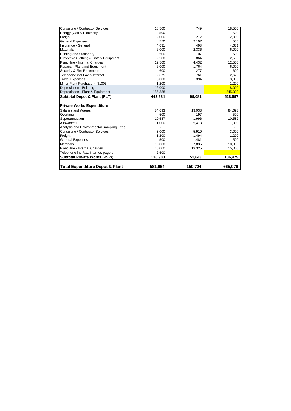| <b>Total Expenditure Depot &amp; Plant</b> | 581,964 | 150,724 | 665,076 |
|--------------------------------------------|---------|---------|---------|
|                                            |         |         |         |
| <b>Subtotal Private Works (PVW)</b>        | 138,980 | 51,643  | 136,479 |
| Telephone inc Fax, Internet, pagers        | 2,500   |         |         |
| Plant Hire - Internal Charges              | 15,000  | 13,325  | 15,000  |
| <b>Materials</b>                           | 10,000  | 7,835   | 10,000  |
| <b>General Expenses</b>                    | 500     | 1,481   | 500     |
| Freight                                    | 1,200   | 1,494   | 1,200   |
| Consulting / Contractor Services           | 3,000   | 5,910   | 3,000   |
| Analysis and Environmental Sampling Fees   |         |         |         |
| Allowances                                 | 11,000  | 5,473   | 11,000  |
| Superannuation                             | 10,587  | 1,996   | 10,587  |
| Overtime                                   | 500     | 197     | 500     |
| Salaries and Wages                         | 84,693  | 13,933  | 84,693  |
| <b>Private Works Expenditure</b>           |         |         |         |
| <b>Subtotal Depot &amp; Plant (PLT)</b>    | 442,984 | 99,081  | 528,597 |
| Depreciation - Plant & Equipment           | 155,388 |         | 245,000 |
| Depreciation - Building                    | 12,000  |         | 8,000   |
| Minor Plant Purchase (< \$100)             | 1,200   |         | 1,200   |
| <b>Travel Expenses</b>                     | 3,000   | 394     | 3,000   |
| Telephone incl Fax & Internet              | 2,675   | 761     | 2,675   |
| Security & Fire Prevention                 | 600     | 277     | 600     |
| Repairs - Plant and Equipment              | 6,000   | 1,764   | 6,000   |
| Plant Hire - Internal Charges              | 12,500  | 4,432   | 12,500  |
| Protective Clothing & Safety Equipment     | 2,500   | 864     | 2,500   |
| <b>Printing and Stationery</b>             | 500     | 107     | 500     |
| <b>Materials</b>                           | 6,000   | 2,336   | 6,000   |
| Insurance - General                        | 4,631   | 493     | 4,631   |
| <b>General Expenses</b>                    | 550     | 2,107   | 550     |
| Freight                                    | 2,000   | 272     | 2,000   |
| Energy (Gas & Electricity)                 | 500     |         | 500     |
| Consulting / Contractor Services           | 18,500  | 749     | 18,500  |